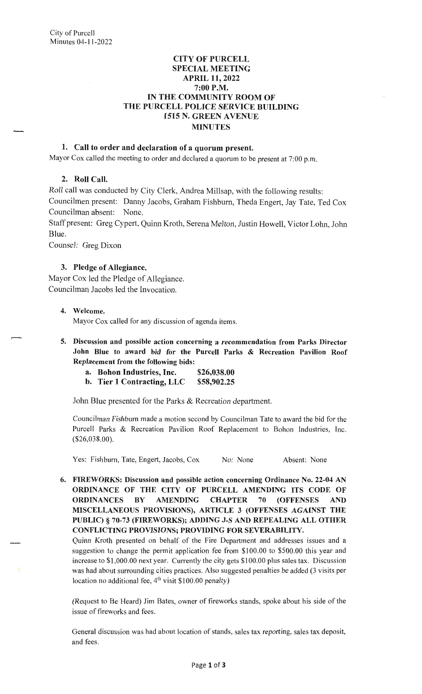# **CITY OF PURCELL SPECIAL MEETING APRIL 11, 2022 7:00P.M. IN THE COMMUNITY ROOM OF THE PURCELL POLICE SERVICE BUILDING 1515 N. GREEN A VENUE MINUTES**

## **1. Call to order and declaration of a quorum present.**

Mayor Cox called the meeting to order and declared a quorum to be present at 7:00 p.m.

## **2. Roll Call.**

Roll call was conducted by City Clerk, Andrea Millsap, with the following results: Councilmen present: Danny Jacobs, Graham Fishburn, Theda Engert, Jay Tate, Ted Cox Councilman absent: None.

Staff present: Greg Cypert, Quinn Kroth, Serena Melton, Justin Howell, Victor Lohn, John Blue.

Counsel: Greg Dixon

## **3. Pledge of Allegiance.**

Mayor Cox led the Pledge of Allegiance. Councilman Jacobs led the Invocation.

### **4. Welcome.**

Mayor Cox called for any discussion of agenda items.

- **5. Discussion and possible action concerning a recommendation from Parks Director John Blue to award bid for the Purcell Parks** & **Recreation Pavilion Roof Replacement from the following bids:** 
	- **a. Bohon Industries, Inc. \$26,038.00**
	- **b. Tier 1 Contracting, LLC \$58,902.25**

John Blue presented for the Parks & Recreation department.

Councilman Fishburn made a motion second by Councilman Tate to award the bid for the Purcell Parks & Recreation Pavilion Roof Replacement to Bohon Industries, Inc. (\$26,038.00).

Yes: Fishburn, Tate, Engert, Jacobs, Cox No: None Absent: None

**6. FIREWORKS: Discussion and possible action concerning Ordinance No. 22-04 AN ORDINANCE OF THE CITY OF PURCELL AMENDING ITS CODE OF ORDINANCES BY AMENDING CHAPTER 70 (OFFENSES AND MISCELLANEOUS PROVISIONS), ARTICLE 3 (OFFENSES AGAINST THE PUBLIC)** § **70-73 (FIREWORKS); ADDING J-S AND REPEALING ALL OTHER CONFLICTING PROVISIONS; PROVIDING FOR SEVERABILITY.** 

Quinn Kroth presented on behalf of the Fire Department and addresses issues and a suggestion to change the permit application fee from \$100.00 to \$500.00 this year and increase to \$1 ,000.00 next year. Currently the city gets \$100.00 plus sales tax. Discussion was had about surrounding cities practices. Also suggested penalties be added (3 visits per location no additional fee,  $4<sup>th</sup>$  visit \$100.00 penalty)

(Request to Be Heard) Jim Bates, owner of fireworks stands, spoke about his side of the issue of fireworks and fees.

General discussion was had about location of stands, sales tax reporting, sales tax deposit, and fees.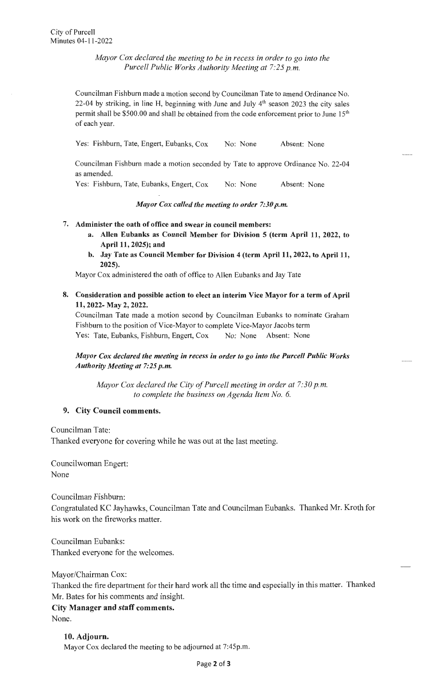*Mayor Cox declared the meeting to be in recess in order to go into the Purcell Public Works Authority Meeting at 7:25 p.m.* 

Councilman Fishburn made a motion second by Councilman Tate to amend Ordinance No. 22-04 by striking, in line H, beginning with June and July  $4<sup>th</sup>$  season 2023 the city sales permit shall be \$500.00 and shall be obtained from the code enforcement prior to June 15<sup>th</sup> of each year.

Yes: Fishburn, Tate, Engert, Eubanks, Cox No: None Absent: None

Councilman Fishburn made a motion seconded by Tate to approve Ordinance No. 22-04 as amended.

Yes: Fishburn, Tate, Eubanks, Engert, Cox No: None Absent: None

*Mayor Cox called the meeting to order 7:30 p.m.* 

#### 7. **Administer the oath of office and swear in council members:**

- **a. Allen Eubanks as Council Member for Division 5 (term April 11, 2022, to April 11, 2025); and**
- **b. Jay Tate as Council Member for Division 4 (term April 11, 2022, to April 11, 2025).**

Mayor Cox administered the oath of office to Allen Eubanks and Jay Tate

**8. Consideration and possible action to elect an interim Vice Mayor for a term of April 11, 2022- May 2, 2022.** 

Councilman Tate made a motion second by Councilman Eubanks to nominate Graham Fishburn to the position of Vice-Mayor to complete Vice-Mayor Jacobs term Yes: Tate, Eubanks, Fishburn, Engert, Cox No: None Absent: None

# *Mayor Cox declared the meeting in recess in order to go into the Purcell Public Works Authority Meeting at 7:25 p.m.*

*Mayor Cox declared the City of Purcell meeting in order at 7:30 p.m. to complete the business on Agenda Item No. 6.* 

### **9. City Council comments.**

Councilman Tate:

Thanked everyone for covering while he was out at the last meeting.

Councilwoman Engert: None

Councilman Fishburn:

Congratulated KC Jayhawks, Councilman Tate and Councilman Eubanks. Thanked Mr. Kroth for his work on the fireworks matter.

Councilman Eubanks: Thanked everyone for the welcomes.

Mayor/Chairman Cox: Thanked the fire department for their hard work all the time and especially in this matter. Thanked Mr. Bates for his comments and insight. **City Manager and staff comments.**  None.

**10. Adjourn.**  Mayor Cox declared the meeting to be adjourned at 7:45p.m.